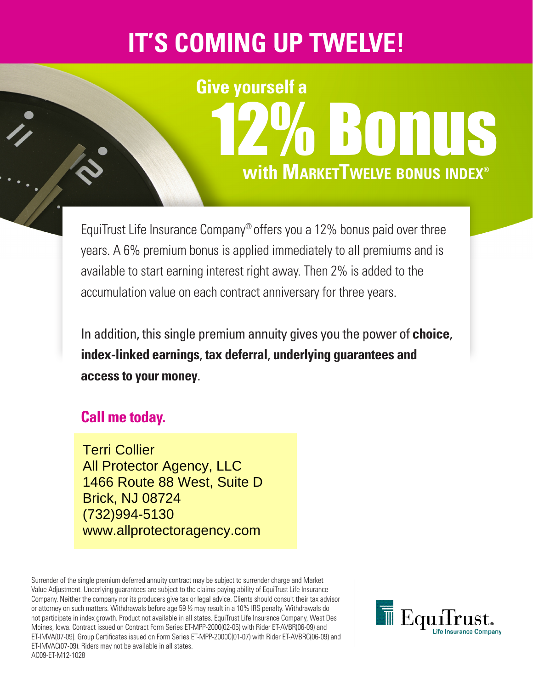## **IT'S COMING UP TWELVE!**

# **with MarketTwelve bonus index®** BONUS **Give yourself a**

EquiTrust Life Insurance Company® offers you a 12% bonus paid over three years. A 6% premium bonus is applied immediately to all premiums and is available to start earning interest right away. Then 2% is added to the accumulation value on each contract anniversary for three years.

In addition, this single premium annuity gives you the power of **choice**, **index-linked earnings**, **tax deferral**, **underlying guarantees and access to your money**.

### **Call me today.**

Terri Collier All Protector Agency, LLC 1466 Route 88 West, Suite D Brick, NJ 08724 (732)994-5130 www.allprotectoragency.com

Surrender of the single premium deferred annuity contract may be subject to surrender charge and Market Value Adjustment. Underlying guarantees are subject to the claims-paying ability of EquiTrust Life Insurance Company. Neither the company nor its producers give tax or legal advice. Clients should consult their tax advisor or attorney on such matters. Withdrawals before age 59 ½ may result in a 10% IRS penalty. Withdrawals do not participate in index growth. Product not available in all states. EquiTrust Life Insurance Company, West Des Moines, Iowa. Contract issued on Contract Form Series ET-MPP-2000(02-05) with Rider ET-AVBR(06-09) and ET-IMVA(07-09). Group Certificates issued on Form Series ET-MPP-2000C(01-07) with Rider ET-AVBRC(06-09) and ET-IMVAC(07-09). Riders may not be available in all states. AC09-ET-M12-1028